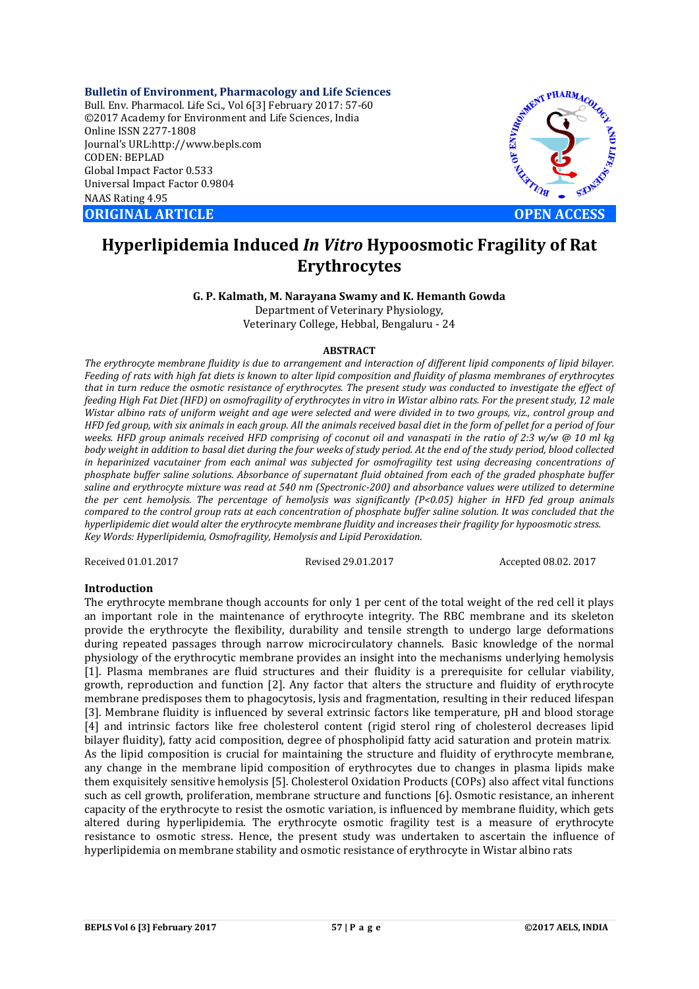**Bulletin of Environment, Pharmacology and Life Sciences** Bull. Env. Pharmacol. Life Sci., Vol 6[3] February 2017: 57-60 ©2017 Academy for Environment and Life Sciences, India Online ISSN 2277-1808 Journal's URL:http://www.bepls.com CODEN: BEPLAD Global Impact Factor 0.533 Universal Impact Factor 0.9804 NAAS Rating 4.95 **ORIGINAL ARTICLE OPEN ACCESS** 



# **Hyperlipidemia Induced** *In Vitro* **Hypoosmotic Fragility of Rat Erythrocytes**

**G. P. Kalmath, M. Narayana Swamy and K. Hemanth Gowda** 

Department of Veterinary Physiology, Veterinary College, Hebbal, Bengaluru - 24

# **ABSTRACT**

*The erythrocyte membrane fluidity is due to arrangement and interaction of different lipid components of lipid bilayer. Feeding of rats with high fat diets is known to alter lipid composition and fluidity of plasma membranes of erythrocytes that in turn reduce the osmotic resistance of erythrocytes. The present study was conducted to investigate the effect of feeding High Fat Diet (HFD) on osmofragility of erythrocytes in vitro in Wistar albino rats. For the present study, 12 male Wistar albino rats of uniform weight and age were selected and were divided in to two groups, viz., control group and HFD fed group, with six animals in each group. All the animals received basal diet in the form of pellet for a period of four weeks. HFD group animals received HFD comprising of coconut oil and vanaspati in the ratio of 2:3 w/w @ 10 ml kg body weight in addition to basal diet during the four weeks of study period. At the end of the study period, blood collected in heparinized vacutainer from each animal was subjected for osmofragility test using decreasing concentrations of phosphate buffer saline solutions. Absorbance of supernatant fluid obtained from each of the graded phosphate buffer saline and erythrocyte mixture was read at 540 nm (Spectronic-200) and absorbance values were utilized to determine the per cent hemolysis. The percentage of hemolysis was significantly (P<0.05) higher in HFD fed group animals compared to the control group rats at each concentration of phosphate buffer saline solution. It was concluded that the hyperlipidemic diet would alter the erythrocyte membrane fluidity and increases their fragility for hypoosmotic stress. Key Words: Hyperlipidemia, Osmofragility, Hemolysis and Lipid Peroxidation.*

Received 01.01.2017 Revised 29.01.2017 Accepted 08.02. 2017

# **Introduction**

The erythrocyte membrane though accounts for only 1 per cent of the total weight of the red cell it plays an important role in the maintenance of erythrocyte integrity. The RBC membrane and its skeleton provide the erythrocyte the flexibility, durability and tensile strength to undergo large deformations during repeated passages through narrow microcirculatory channels. Basic knowledge of the normal physiology of the erythrocytic membrane provides an insight into the mechanisms underlying hemolysis [1]. Plasma membranes are fluid structures and their fluidity is a prerequisite for cellular viability, growth, reproduction and function [2]. Any factor that alters the structure and fluidity of erythrocyte membrane predisposes them to phagocytosis, lysis and fragmentation, resulting in their reduced lifespan [3]. Membrane fluidity is influenced by several extrinsic factors like temperature, pH and blood storage [4] and intrinsic factors like free cholesterol content (rigid sterol ring of cholesterol decreases lipid bilayer fluidity), fatty acid composition, degree of phospholipid fatty acid saturation and protein matrix. As the lipid composition is crucial for maintaining the structure and fluidity of erythrocyte membrane, any change in the membrane lipid composition of erythrocytes due to changes in plasma lipids make them exquisitely sensitive hemolysis [5]. Cholesterol Oxidation Products (COPs) also affect vital functions such as cell growth, proliferation, membrane structure and functions [6]. Osmotic resistance, an inherent capacity of the erythrocyte to resist the osmotic variation, is influenced by membrane fluidity, which gets altered during hyperlipidemia. The erythrocyte osmotic fragility test is a measure of erythrocyte resistance to osmotic stress. Hence, the present study was undertaken to ascertain the influence of hyperlipidemia on membrane stability and osmotic resistance of erythrocyte in Wistar albino rats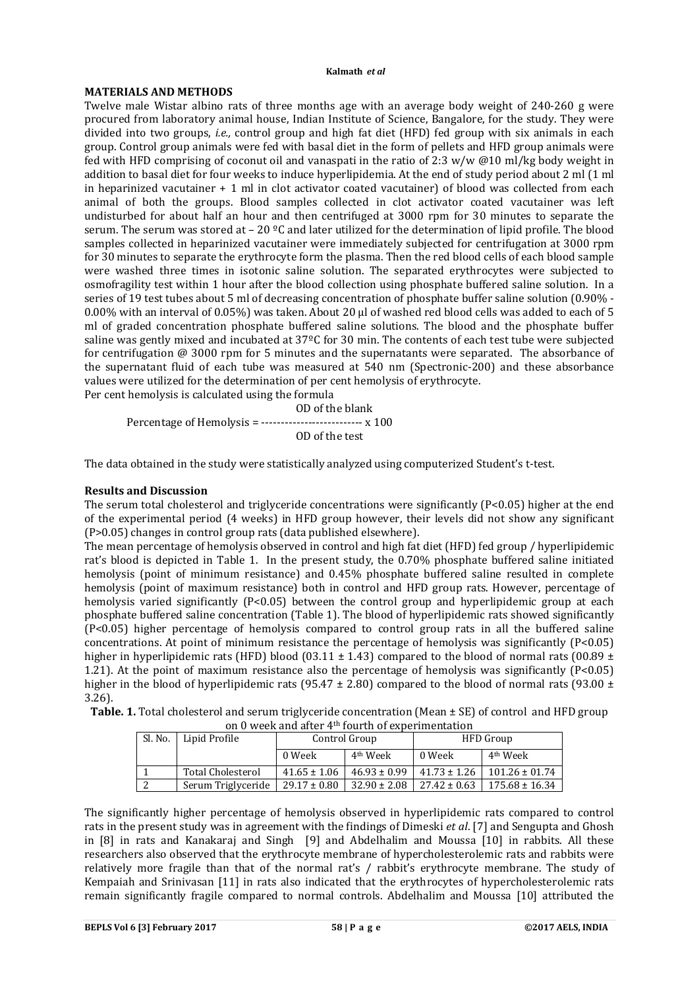## **Kalmath** *et al*

# **MATERIALS AND METHODS**

Twelve male Wistar albino rats of three months age with an average body weight of 240-260 g were procured from laboratory animal house, Indian Institute of Science, Bangalore, for the study. They were divided into two groups, *i.e.,* control group and high fat diet (HFD) fed group with six animals in each group. Control group animals were fed with basal diet in the form of pellets and HFD group animals were fed with HFD comprising of coconut oil and vanaspati in the ratio of 2:3 w/w @10 ml/kg body weight in addition to basal diet for four weeks to induce hyperlipidemia. At the end of study period about 2 ml (1 ml in heparinized vacutainer + 1 ml in clot activator coated vacutainer) of blood was collected from each animal of both the groups. Blood samples collected in clot activator coated vacutainer was left undisturbed for about half an hour and then centrifuged at 3000 rpm for 30 minutes to separate the serum. The serum was stored at – 20 ºC and later utilized for the determination of lipid profile. The blood samples collected in heparinized vacutainer were immediately subjected for centrifugation at 3000 rpm for 30 minutes to separate the erythrocyte form the plasma. Then the red blood cells of each blood sample were washed three times in isotonic saline solution. The separated erythrocytes were subjected to osmofragility test within 1 hour after the blood collection using phosphate buffered saline solution. In a series of 19 test tubes about 5 ml of decreasing concentration of phosphate buffer saline solution (0.90% - 0.00% with an interval of 0.05%) was taken. About 20 µl of washed red blood cells was added to each of 5 ml of graded concentration phosphate buffered saline solutions. The blood and the phosphate buffer saline was gently mixed and incubated at 37<sup>o</sup>C for 30 min. The contents of each test tube were subjected for centrifugation @ 3000 rpm for 5 minutes and the supernatants were separated. The absorbance of the supernatant fluid of each tube was measured at 540 nm (Spectronic-200) and these absorbance values were utilized for the determination of per cent hemolysis of erythrocyte. Per cent hemolysis is calculated using the formula

OD of the blank Percentage of Hemolysis = -------------------------- x 100 OD of the test

The data obtained in the study were statistically analyzed using computerized Student's t-test.

# **Results and Discussion**

The serum total cholesterol and triglyceride concentrations were significantly (P<0.05) higher at the end of the experimental period (4 weeks) in HFD group however, their levels did not show any significant (P>0.05) changes in control group rats (data published elsewhere).

The mean percentage of hemolysis observed in control and high fat diet (HFD) fed group / hyperlipidemic rat's blood is depicted in Table 1. In the present study, the 0.70% phosphate buffered saline initiated hemolysis (point of minimum resistance) and 0.45% phosphate buffered saline resulted in complete hemolysis (point of maximum resistance) both in control and HFD group rats. However, percentage of hemolysis varied significantly (P<0.05) between the control group and hyperlipidemic group at each phosphate buffered saline concentration (Table 1). The blood of hyperlipidemic rats showed significantly (P<0.05) higher percentage of hemolysis compared to control group rats in all the buffered saline concentrations. At point of minimum resistance the percentage of hemolysis was significantly (P<0.05) higher in hyperlipidemic rats (HFD) blood (03.11  $\pm$  1.43) compared to the blood of normal rats (00.89  $\pm$ 1.21). At the point of maximum resistance also the percentage of hemolysis was significantly (P<0.05) higher in the blood of hyperlipidemic rats (95.47  $\pm$  2.80) compared to the blood of normal rats (93.00  $\pm$ 3.26).

**Table. 1.** Total cholesterol and serum triglyceride concentration (Mean ± SE) of control and HFD group on 0 week and after  $4<sup>th</sup>$  fourth of experimentation

| Sl. No. | Lipid Profile      | Control Group    |                      | HFD Group        |                      |
|---------|--------------------|------------------|----------------------|------------------|----------------------|
|         |                    | 0 Week           | 4 <sup>th</sup> Week | 0 Week           | 4 <sup>th</sup> Week |
|         | Total Cholesterol  | $41.65 \pm 1.06$ | $46.93 \pm 0.99$     | $41.73 \pm 1.26$ | $101.26 \pm 01.74$   |
|         | Serum Triglyceride | $29.17 \pm 0.80$ | $32.90 \pm 2.08$     | $27.42 \pm 0.63$ | $175.68 \pm 16.34$   |

The significantly higher percentage of hemolysis observed in hyperlipidemic rats compared to control rats in the present study was in agreement with the findings of Dimeski *et al*. [7] and Sengupta and Ghosh in [8] in rats and Kanakaraj and Singh [9] and Abdelhalim and Moussa [10] in rabbits. All these researchers also observed that the erythrocyte membrane of hypercholesterolemic rats and rabbits were relatively more fragile than that of the normal rat's / rabbit's erythrocyte membrane. The study of Kempaiah and Srinivasan [11] in rats also indicated that the erythrocytes of hypercholesterolemic rats remain significantly fragile compared to normal controls. Abdelhalim and Moussa [10] attributed the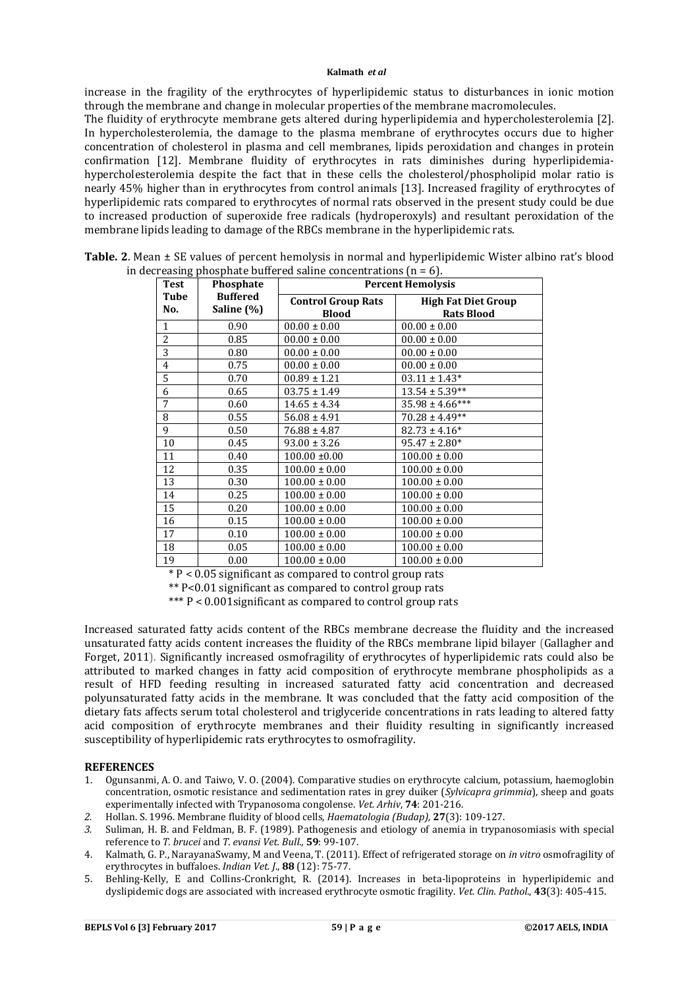### **Kalmath** *et al*

increase in the fragility of the erythrocytes of hyperlipidemic status to disturbances in ionic motion through the membrane and change in molecular properties of the membrane macromolecules.

The fluidity of erythrocyte membrane gets altered during hyperlipidemia and hypercholesterolemia [2]. In hypercholesterolemia, the damage to the plasma membrane of erythrocytes occurs due to higher concentration of cholesterol in plasma and cell membranes, lipids peroxidation and changes in protein confirmation [12]. Membrane fluidity of erythrocytes in rats diminishes during hyperlipidemiahypercholesterolemia despite the fact that in these cells the cholesterol/phospholipid molar ratio is nearly 45% higher than in erythrocytes from control animals [13]. Increased fragility of erythrocytes of hyperlipidemic rats compared to erythrocytes of normal rats observed in the present study could be due to increased production of superoxide free radicals (hydroperoxyls) and resultant peroxidation of the membrane lipids leading to damage of the RBCs membrane in the hyperlipidemic rats.

| <b>Test</b>    | Phosphate                     | <b>Percent Hemolysis</b>                  |                                                 |
|----------------|-------------------------------|-------------------------------------------|-------------------------------------------------|
| Tube<br>No.    | <b>Buffered</b><br>Saline (%) | <b>Control Group Rats</b><br><b>Blood</b> | <b>High Fat Diet Group</b><br><b>Rats Blood</b> |
| $\mathbf{1}$   | 0.90                          | $00.00 \pm 0.00$                          | $00.00 \pm 0.00$                                |
| $\overline{2}$ | 0.85                          | $00.00 \pm 0.00$                          | $00.00 \pm 0.00$                                |
| 3              | 0.80                          | $00.00 \pm 0.00$                          | $00.00 \pm 0.00$                                |
| 4              | 0.75                          | $00.00 \pm 0.00$                          | $00.00 \pm 0.00$                                |
| 5              | 0.70                          | $00.89 \pm 1.21$                          | $03.11 \pm 1.43*$                               |
| 6              | 0.65                          | $03.75 \pm 1.49$                          | $13.54 \pm 5.39**$                              |
| $\overline{7}$ | 0.60                          | $14.65 \pm 4.34$                          | $35.98 \pm 4.66***$                             |
| 8              | 0.55                          | $56.08 \pm 4.91$                          | $70.28 \pm 4.49**$                              |
| 9              | 0.50                          | $76.88 \pm 4.87$                          | $82.73 \pm 4.16*$                               |
| 10             | 0.45                          | $93.00 \pm 3.26$                          | $95.47 \pm 2.80*$                               |
| 11             | 0.40                          | $100.00 \pm 0.00$                         | $100.00 \pm 0.00$                               |
| 12             | 0.35                          | $100.00 \pm 0.00$                         | $100.00 \pm 0.00$                               |
| 13             | 0.30                          | $100.00 \pm 0.00$                         | $100.00 \pm 0.00$                               |
| 14             | 0.25                          | $100.00 \pm 0.00$                         | $100.00 \pm 0.00$                               |
| 15             | 0.20                          | $100.00 \pm 0.00$                         | $100.00 \pm 0.00$                               |
| 16             | 0.15                          | $100.00 \pm 0.00$                         | $100.00 \pm 0.00$                               |
| 17             | 0.10                          | $100.00 \pm 0.00$                         | $100.00 \pm 0.00$                               |
| 18             | 0.05                          | $100.00 \pm 0.00$                         | $100.00 \pm 0.00$                               |
| 19             | 0.00                          | $100.00 \pm 0.00$                         | $100.00 \pm 0.00$                               |

**Table. 2**. Mean ± SE values of percent hemolysis in normal and hyperlipidemic Wister albino rat's blood in decreasing phosphate buffered saline concentrations  $(n = 6)$ .

\* P < 0.05 significant as compared to control group rats

\*\* P<0.01 significant as compared to control group rats

\*\*\* P < 0.001significant as compared to control group rats

Increased saturated fatty acids content of the RBCs membrane decrease the fluidity and the increased unsaturated fatty acids content increases the fluidity of the RBCs membrane lipid bilayer (Gallagher and Forget, 2011). Significantly increased osmofragility of erythrocytes of hyperlipidemic rats could also be attributed to marked changes in fatty acid composition of erythrocyte membrane phospholipids as a result of HFD feeding resulting in increased saturated fatty acid concentration and decreased polyunsaturated fatty acids in the membrane. It was concluded that the fatty acid composition of the dietary fats affects serum total cholesterol and triglyceride concentrations in rats leading to altered fatty acid composition of erythrocyte membranes and their fluidity resulting in significantly increased susceptibility of hyperlipidemic rats erythrocytes to osmofragility.

# **REFERENCES**

- 1. Ogunsanmi, A. O. and Taiwo, V. O. (2004). Comparative studies on erythrocyte calcium, potassium, haemoglobin concentration, osmotic resistance and sedimentation rates in grey duiker (*Sylvicapra grimmia*), sheep and goats experimentally infected with Trypanosoma congolense. *Vet. Arhiv*, **74**: 201-216.
- *2.* Hollan. S. 1996. Membrane fluidity of blood cells, *Haematologia (Budap),* **27**(3): 109-127.
- *3.* Suliman, H. B. and Feldman, B. F. (1989). Pathogenesis and etiology of anemia in trypanosomiasis with special reference to *T. brucei* and *T. evansi Vet. Bull.,* **59**: 99-107.
- 4. Kalmath, G. P., NarayanaSwamy, M and Veena, T. (2011). Effect of refrigerated storage on *in vitro* osmofragility of erythrocytes in buffaloes. *Indian Vet. J*., **88** (12): 75-77.
- 5. Behling-Kelly, E and Collins-Cronkright, R. (2014). Increases in beta-lipoproteins in hyperlipidemic and dyslipidemic dogs are associated with increased erythrocyte osmotic fragility. *Vet. Clin. Pathol*., **43**(3): 405-415.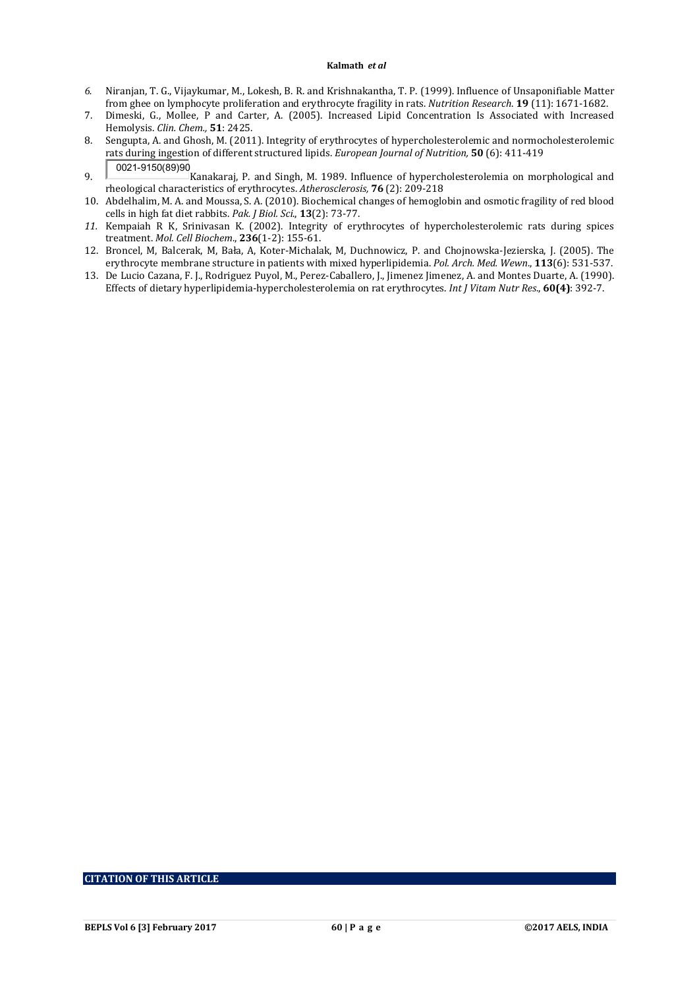#### **Kalmath** *et al*

- *6.* Niranjan, T. G., Vijaykumar, M., Lokesh, B. R. and Krishnakantha, T. P. (1999). Influence of Unsaponifiable Matter from ghee on lymphocyte proliferation and erythrocyte fragility in rats. *Nutrition Research*. **19** (11): 1671-1682.
- 7. Dimeski, G., Mollee, P and Carter, A. (2005). Increased Lipid Concentration Is Associated with Increased Hemolysis. *Clin. Chem.,* **51**: 2425.
- 8. Sengupta, A. and Ghosh, M. (2011). Integrity of erythrocytes of hypercholesterolemic and normocholesterolemic rats during ingestion of different structured lipids. *European Journal of Nutrition,* **50** (6): 411-419
- 9. 0021-9150(89)90<br>Kanakaraj, P. and Singh, M. 1989. Influence of hypercholesterolemia on morphological and rheological characteristics of erythrocytes. *Atherosclerosis,* **76** (2): 209-218
- 10. Abdelhalim, M. A. and Moussa, S. A. (2010). Biochemical changes of hemoglobin and osmotic fragility of red blood cells in high fat diet rabbits. *Pak. J Biol. Sci*., **13**(2): 73-77.
- *11.* Kempaiah R K, Srinivasan K. (2002). Integrity of erythrocytes of hypercholesterolemic rats during spices treatment. *Mol. Cell Biochem*., **236**(1-2): 155-61.
- 12. Broncel, M, Balcerak, M, Bała, A, Koter-Michalak, M, Duchnowicz, P. and Chojnowska-Jezierska, J. (2005). The erythrocyte membrane structure in patients with mixed hyperlipidemia. *Pol. Arch. Med. Wewn*., **113**(6): 531-537.
- 13. De Lucio Cazana, F. J., Rodriguez Puyol, M., Perez-Caballero, J., Jimenez Jimenez, A. and Montes Duarte, A. (1990). Effects of dietary hyperlipidemia-hypercholesterolemia on rat erythrocytes. *Int J Vitam Nutr Res*., **60(4)**: 392-7.

## **CITATION OF THIS ARTICLE**